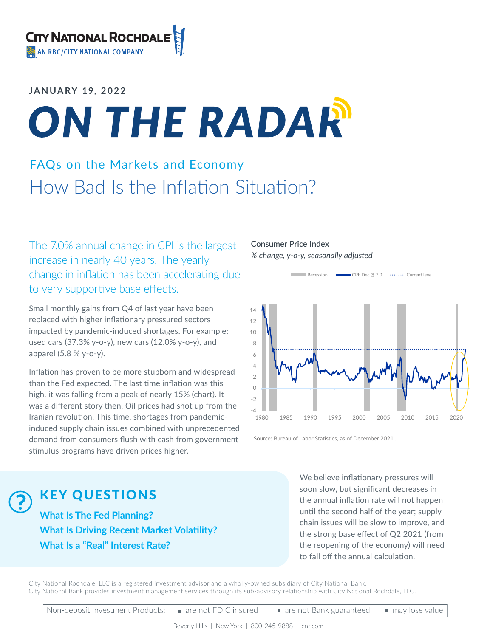#### **JANUARY 19, 2022**

# ON THE RADAR

## FAQs on the Markets and Economy How Bad Is the Inflation Situation?

The 7.0% annual change in CPI is the largest increase in nearly 40 years. The yearly change in inflation has been accelerating due to very supportive base effects.

Small monthly gains from Q4 of last year have been replaced with higher inflationary pressured sectors impacted by pandemic-induced shortages. For example: used cars (37.3% y-o-y), new cars (12.0% y-o-y), and apparel (5.8 % y-o-y).

Inflation has proven to be more stubborn and widespread than the Fed expected. The last time inflation was this high, it was falling from a peak of nearly 15% (chart). It was a different story then. Oil prices had shot up from the Iranian revolution. This time, shortages from pandemicinduced supply chain issues combined with unprecedented demand from consumers flush with cash from government stimulus programs have driven prices higher.





Source: Bureau of Labor Statistics, as of December 2021 .

KEY QUESTIONS

**What Is The Fed Planning? What Is Driving Recent Market Volatility? What Is a "Real" Interest Rate?**

We believe inflationary pressures will soon slow, but significant decreases in the annual inflation rate will not happen until the second half of the year; supply chain issues will be slow to improve, and the strong base effect of Q2 2021 (from the reopening of the economy) will need to fall off the annual calculation.

City National Rochdale, LLC is a registered investment advisor and a wholly-owned subsidiary of City National Bank. City National Bank provides investment management services through its sub-advisory relationship with City National Rochdale, LLC.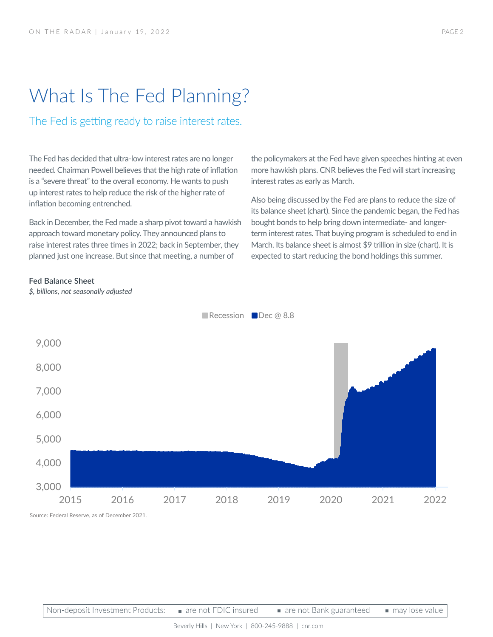## What Is The Fed Planning?

The Fed is getting ready to raise interest rates.

The Fed has decided that ultra-low interest rates are no longer needed. Chairman Powell believes that the high rate of inflation is a "severe threat" to the overall economy. He wants to push up interest rates to help reduce the risk of the higher rate of inflation becoming entrenched.

Back in December, the Fed made a sharp pivot toward a hawkish approach toward monetary policy. They announced plans to raise interest rates three times in 2022; back in September, they planned just one increase. But since that meeting, a number of

the policymakers at the Fed have given speeches hinting at even more hawkish plans. CNR believes the Fed will start increasing interest rates as early as March.

Also being discussed by the Fed are plans to reduce the size of its balance sheet (chart). Since the pandemic began, the Fed has bought bonds to help bring down intermediate- and longerterm interest rates. That buying program is scheduled to end in March. Its balance sheet is almost \$9 trillion in size (chart). It is expected to start reducing the bond holdings this summer.

#### **Fed Balance Sheet**

*\$, billions, not seasonally adjusted*



Recession Dec @ 8.8

Source: Federal Reserve, as of December 2021.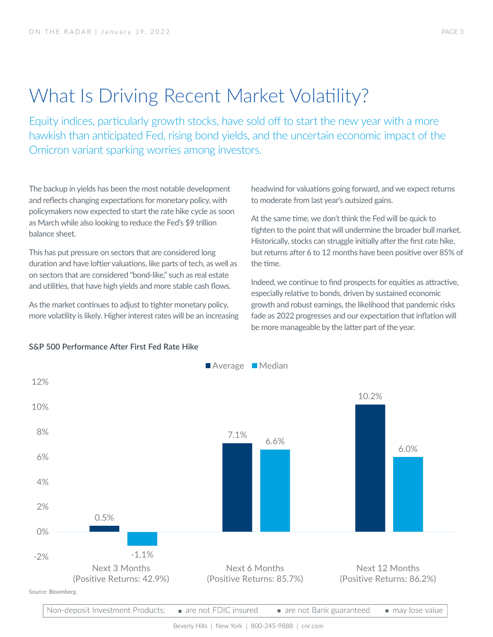## What Is Driving Recent Market Volatility?

Equity indices, particularly growth stocks, have sold off to start the new year with a more hawkish than anticipated Fed, rising bond yields, and the uncertain economic impact of the Omicron variant sparking worries among investors.

The backup in yields has been the most notable development and reflects changing expectations for monetary policy, with policymakers now expected to start the rate hike cycle as soon as March while also looking to reduce the Fed's \$9 trillion balance sheet.

This has put pressure on sectors that are considered long duration and have loftier valuations, like parts of tech, as well as on sectors that are considered "bond-like," such as real estate and utilities, that have high yields and more stable cash flows.

As the market continues to adjust to tighter monetary policy, more volatility is likely. Higher interest rates will be an increasing headwind for valuations going forward, and we expect returns to moderate from last year's outsized gains.

At the same time, we don't think the Fed will be quick to tighten to the point that will undermine the broader bull market. Historically, stocks can struggle initially after the first rate hike, but returns after 6 to 12 months have been positive over 85% of the time.

Indeed, we continue to find prospects for equities as attractive, especially relative to bonds, driven by sustained economic growth and robust earnings, the likelihood that pandemic risks fade as 2022 progresses and our expectation that inflation will be more manageable by the latter part of the year.



#### **S&P 500 Performance After First Fed Rate Hike**

Non-deposit Investment Products: are not FDIC insured are not Bank guaranteed may lose value

Beverly Hills | New York | 800-245-9888 | cnr.com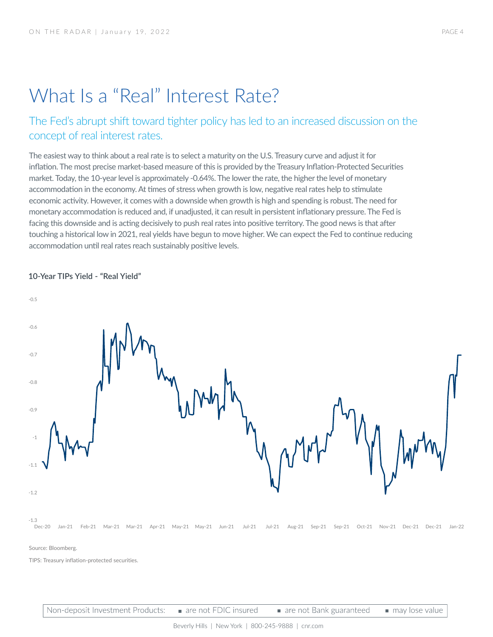## What Is a "Real" Interest Rate?

### The Fed's abrupt shift toward tighter policy has led to an increased discussion on the concept of real interest rates.

The easiest way to think about a real rate is to select a maturity on the U.S. Treasury curve and adjust it for inflation. The most precise market-based measure of this is provided by the Treasury Inflation-Protected Securities market. Today, the 10-year level is approximately -0.64%. The lower the rate, the higher the level of monetary accommodation in the economy. At times of stress when growth is low, negative real rates help to stimulate economic activity. However, it comes with a downside when growth is high and spending is robust. The need for monetary accommodation is reduced and, if unadjusted, it can result in persistent inflationary pressure. The Fed is facing this downside and is acting decisively to push real rates into positive territory. The good news is that after touching a historical low in 2021, real yields have begun to move higher. We can expect the Fed to continue reducing accommodation until real rates reach sustainably positive levels.

#### **10-Year TIPs Yield - "Real Yield"**



Non-deposit Investment Products: are not FDIC insured are not Bank guaranteed may lose value